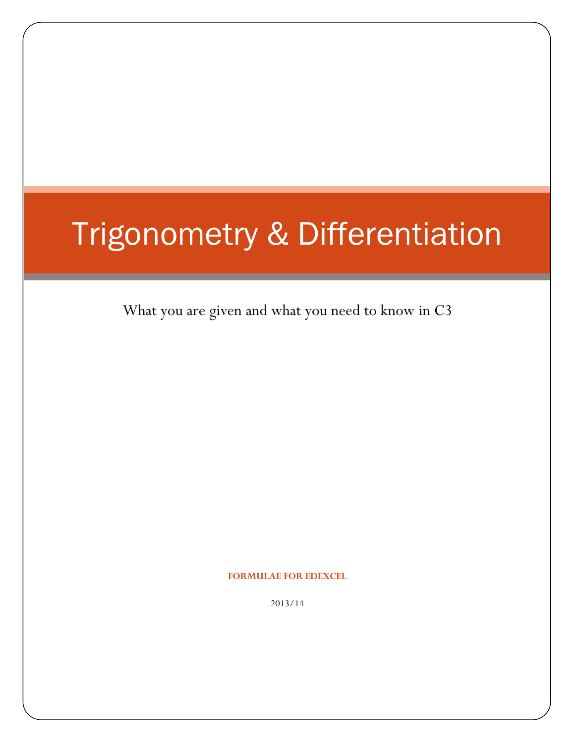# Trigonometry & Differentiation

What you are given and what you need to know in C3

**FORMULAE FOR EDEXCEL**

2013/14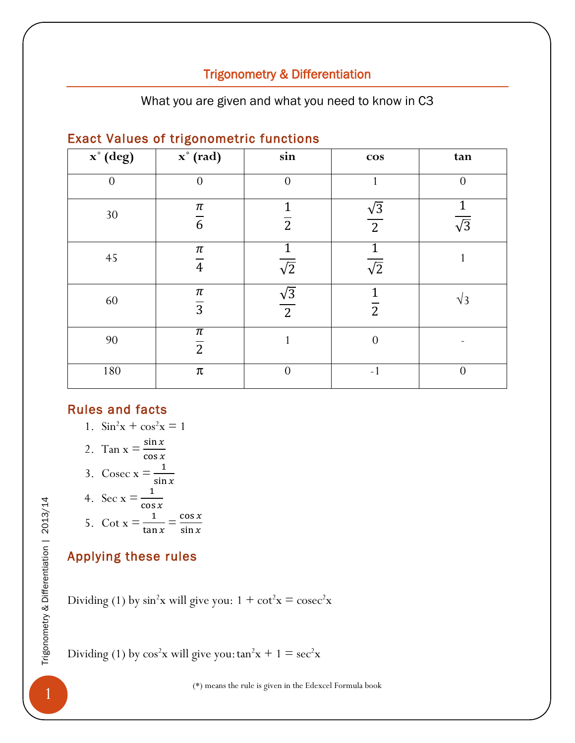# Trigonometry & Differentiation

What you are given and what you need to know in C3

| x° (deg) | $\mathbf{x}^{\circ}$ (rad)         | sin                          | $\cos$                         | tan              |
|----------|------------------------------------|------------------------------|--------------------------------|------------------|
| $\theta$ | $\theta$                           | $\theta$                     | 1                              | $\overline{0}$   |
| 30       | $\pi$<br>$\overline{6}$            | 1<br>$\overline{2}$          | $\frac{\sqrt{3}}{2}$           | $\sqrt{3}$       |
| $45\,$   | $\pi$<br>$\overline{4}$            | $\overline{\sqrt{2}}$        | $\overline{\sqrt{2}}$          | 1                |
| 60       | $\pi$<br>$\overline{3}$            | $\sqrt{3}$<br>$\overline{2}$ | $\mathbf{1}$<br>$\overline{2}$ | $\sqrt{3}$       |
| 90       | $\overline{\pi}$<br>$\overline{2}$ |                              | $\overline{0}$                 |                  |
| 180      | $\pmb{\pi}$                        | $\theta$                     | $-1$                           | $\boldsymbol{0}$ |

#### Exact Values of trigonometric functions

#### Rules and facts

$$
1. \quad \sin^2 x + \cos^2 x = 1
$$

$$
2. \ \ \mathrm{Tan}\ x = \frac{\sin x}{\cos x}
$$

3. 
$$
\csc x = \frac{1}{\sin x}
$$

4. 
$$
\sec x = \frac{1}{\cos x}
$$
  
5. 
$$
\cot x = \frac{1}{\tan x} = \frac{\cos x}{\sin x}
$$

# Applying these rules

(\*) means the rule is given in the Edexcel Formula book 1Trigonometry & Differentiation | 2013/14 Dividing (1) by sin<sup>2</sup>x will give you: 1 + cot<sup>2</sup>x = cosec<sup>2</sup>x

Dividing (1) by  $cos^2x$  will give you:  $tan^2x + 1 = sec^2x$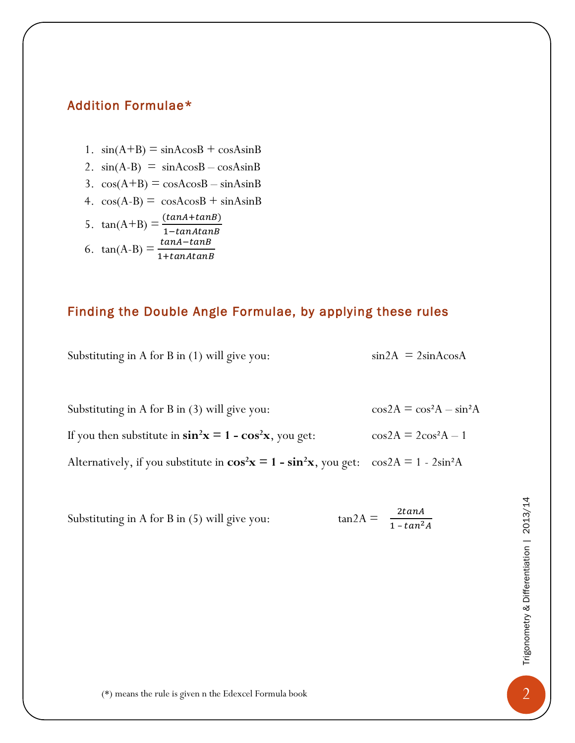## Addition Formulae\*

- 1.  $sin(A+B) = sinAcosB + cosAsinB$
- 2.  $sin(A-B) = sinAcosB cosAsinB$
- 3.  $cos(A+B) = cosA cosB sinAsinB$
- 4.  $cos(A-B) = cosA cosB + sinA sinB$

5. 
$$
\tan(A+B) = \frac{(tanA+tanB)}{1-tanAtanB}
$$
  
6. 
$$
\tan(A-B) = \frac{tanA-tanB}{1+tanAtanB}
$$

# Finding the Double Angle Formulae, by applying these rules

Substituting in A for B in (1) will give you:  $\sin 2A = 2\sin A \cos A$ 

| Substituting in A for B in (3) will give you:                                                      | $\cos 2A = \cos^2 A - \sin^2 A$ |
|----------------------------------------------------------------------------------------------------|---------------------------------|
| If you then substitute in $\sin^2 x = 1 - \cos^2 x$ , you get:                                     | $\cos 2A = 2\cos^2 A - 1$       |
| Alternatively, if you substitute in $\cos^2 x = 1 - \sin^2 x$ , you get: $\cos 2A = 1 - 2\sin^2 A$ |                                 |

| Substituting in A for B in (5) will give you:          | $tan2A =$ | $\frac{2\tan A}{1-\tan^2 A}$ | 2013/14                        |
|--------------------------------------------------------|-----------|------------------------------|--------------------------------|
|                                                        |           |                              | Trigonometry & Differentiation |
| (*) means the rule is given n the Edexcel Formula book |           |                              | ◠                              |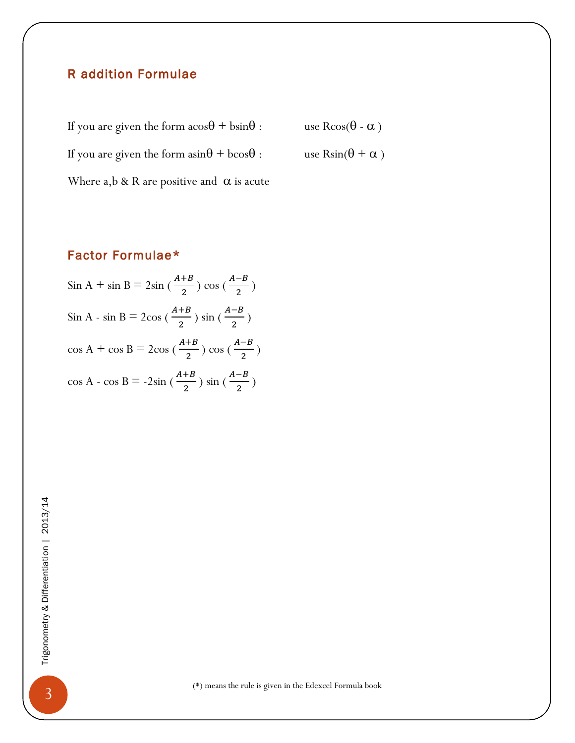#### R addition Formulae

If you are given the form  $a\cos\theta + b\sin\theta$ : use  $R\cos(\theta - \alpha)$ If you are given the form  $a\sin\theta + b\cos\theta$ : use  $R\sin(\theta + \alpha)$ Where a,b & R are positive and  $\alpha$  is acute

#### Factor Formulae\*

Sin A + sin B = 2sin ( $\frac{A+B}{2}$ )  $\frac{+B}{2}$ ) cos ( $\frac{A-B}{2}$  $\frac{p}{2}$ ) Sin A - sin B =  $2\cos\left(\frac{A+B}{2}\right)$  $\frac{+B}{2}$ ) sin ( $\frac{A-B}{2}$  $\frac{p}{2}$ )  $\cos A + \cos B = 2\cos\left(\frac{A+B}{2}\right)$  $\frac{+B}{2}$ ) cos ( $\frac{A-B}{2}$  $\frac{p}{2}$ )  $\cos A - \cos B = -2\sin\left(\frac{A+B}{2}\right)$  $\frac{+B}{2}$ ) sin ( $\frac{A-B}{2}$  $\frac{p}{2}$ )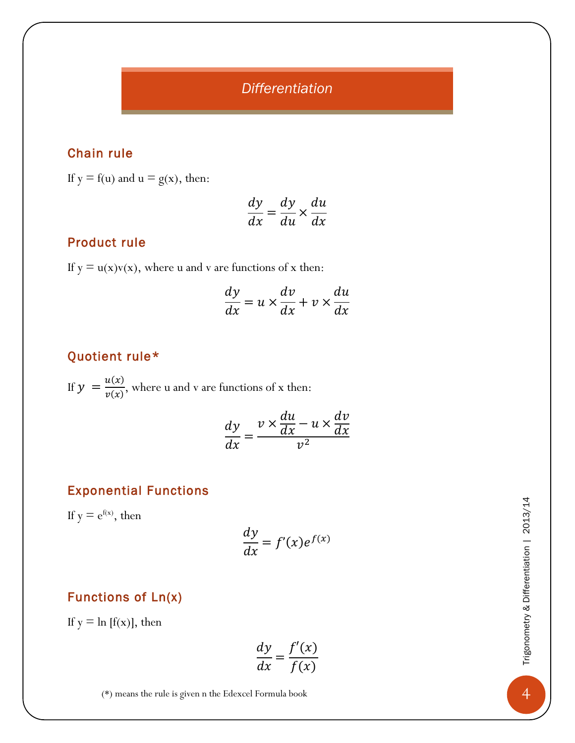*Differentiation*

## Chain rule

If  $y = f(u)$  and  $u = g(x)$ , then:

$$
\frac{dy}{dx} = \frac{dy}{du} \times \frac{du}{dx}
$$

#### Product rule

If  $y = u(x)v(x)$ , where u and v are functions of x then:

$$
\frac{dy}{dx} = u \times \frac{dv}{dx} + v \times \frac{du}{dx}
$$

## Quotient rule\*

If  $y = \frac{u(x)}{u(x)}$  $\frac{d(x)}{v(x)}$ , where u and v are functions of x then:

$$
\frac{dy}{dx} = \frac{v \times \frac{du}{dx} - u \times \frac{dv}{dx}}{v^2}
$$

#### Exponential Functions

If  $y = e^{f(x)}$ , then

$$
\frac{dy}{dx} = f'(x)e^{f(x)}
$$
\n1005 of Ln(x)

\n21.573281

\n22.673281

\n23.773381

\n24.773381

\n25.73381

\n26.73381

\n27.73381

\n28.73381

\n29.73381

\n20.73381

\n21.73381

\n22.73381

\n23.73381

\n24.73381

\n25.73381

\n26.73381

\n27.73381

\n28.73381

\n29.73381

\n20.73381

\n21.73381

\n22.73381

\n23.73381

\n24.73381

\n25.73381

\n26.73381

\n27.73381

\n28.73381

\n29.73381

\n20.73381

\n21.73381

\n22.73381

\n23.73381

\n24.73381

\n25.73381

\n26.73381

\n27.73381

\n28.73381

\n29.73381

\n20.73381

\n21.73381

\n22.73381

\n23.73381

\n24.73381

\n25.73381

\n26.73381

\n27.73381

\n28.73381

\n29.73381

\n20.73381

\n21.73381

\n22.73381

# Functions of Ln(x)

If  $y = \ln[f(x)]$ , then

$$
\frac{dy}{dx} = \frac{f'(x)}{f(x)}
$$